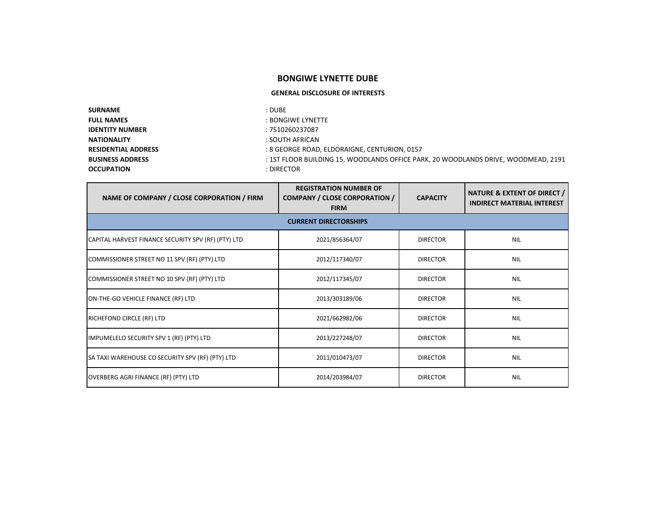## **BONGIWE LYNETTE DUBE**

## **GENERAL DISCLOSURE OF INTERESTS**

| <b>SURNAME</b>             | : DUBE                                                                             |
|----------------------------|------------------------------------------------------------------------------------|
| <b>FULL NAMES</b>          | : BONGIWE LYNETTE                                                                  |
| <b>IDENTITY NUMBER</b>     | : 7510260237087                                                                    |
| <b>NATIONALITY</b>         | : SOUTH AFRICAN                                                                    |
| <b>RESIDENTIAL ADDRESS</b> | : 8 GEORGE ROAD. ELDORAIGNE. CENTURION. 0157                                       |
| <b>BUSINESS ADDRESS</b>    | : 1ST FLOOR BUILDING 15, WOODLANDS OFFICE PARK, 20 WOODLANDS DRIVE, WOODMEAD, 2191 |
| <b>OCCUPATION</b>          | : DIRECTOR                                                                         |

| NAME OF COMPANY / CLOSE CORPORATION / FIRM          | <b>REGISTRATION NUMBER OF</b><br><b>COMPANY / CLOSE CORPORATION /</b><br><b>FIRM</b> | <b>CAPACITY</b> | <b>NATURE &amp; EXTENT OF DIRECT /</b><br><b>INDIRECT MATERIAL INTEREST</b> |
|-----------------------------------------------------|--------------------------------------------------------------------------------------|-----------------|-----------------------------------------------------------------------------|
| <b>CURRENT DIRECTORSHIPS</b>                        |                                                                                      |                 |                                                                             |
| CAPITAL HARVEST FINANCE SECURITY SPV (RF) (PTY) LTD | 2021/856364/07                                                                       | <b>DIRECTOR</b> | <b>NIL</b>                                                                  |
| COMMISSIONER STREET NO 11 SPV (RF) (PTY) LTD        | 2012/117340/07                                                                       | <b>DIRECTOR</b> | <b>NIL</b>                                                                  |
| COMMISSIONER STREET NO 10 SPV (RF) (PTY) LTD        | 2012/117345/07                                                                       | <b>DIRECTOR</b> | <b>NIL</b>                                                                  |
| ON-THE-GO VEHICLE FINANCE (RF) LTD                  | 2013/303189/06                                                                       | <b>DIRECTOR</b> | <b>NIL</b>                                                                  |
| RICHEFOND CIRCLE (RF) LTD                           | 2021/662982/06                                                                       | <b>DIRECTOR</b> | <b>NIL</b>                                                                  |
| IMPUMELELO SECURITY SPV 1 (RF) (PTY) LTD            | 2013/227248/07                                                                       | <b>DIRECTOR</b> | <b>NIL</b>                                                                  |
| SA TAXI WAREHOUSE CO SECURITY SPV (RF) (PTY) LTD    | 2011/010473/07                                                                       | <b>DIRECTOR</b> | <b>NIL</b>                                                                  |
| OVERBERG AGRI FINANCE (RF) (PTY) LTD                | 2014/203984/07                                                                       | <b>DIRECTOR</b> | <b>NIL</b>                                                                  |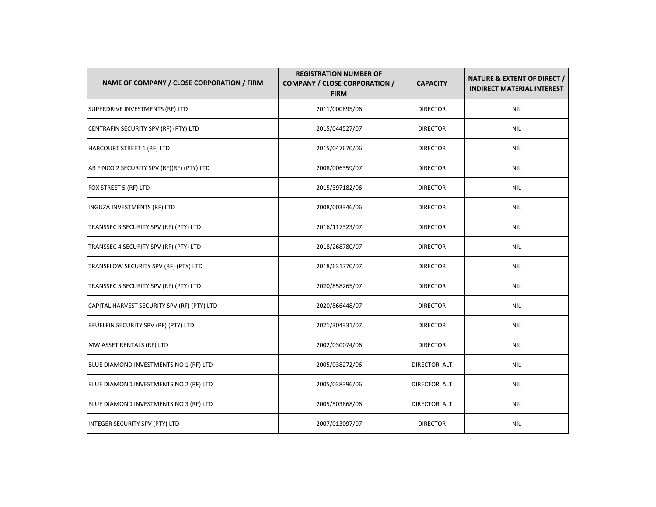| NAME OF COMPANY / CLOSE CORPORATION / FIRM  | <b>REGISTRATION NUMBER OF</b><br><b>COMPANY / CLOSE CORPORATION /</b><br><b>FIRM</b> | <b>CAPACITY</b> | <b>NATURE &amp; EXTENT OF DIRECT /</b><br><b>INDIRECT MATERIAL INTEREST</b> |
|---------------------------------------------|--------------------------------------------------------------------------------------|-----------------|-----------------------------------------------------------------------------|
| SUPERDRIVE INVESTMENTS (RF) LTD             | 2011/000895/06                                                                       | <b>DIRECTOR</b> | <b>NIL</b>                                                                  |
| CENTRAFIN SECURITY SPV (RF) (PTY) LTD       | 2015/044527/07                                                                       | <b>DIRECTOR</b> | <b>NIL</b>                                                                  |
| <b>HARCOURT STREET 1 (RF) LTD</b>           | 2015/047670/06                                                                       | <b>DIRECTOR</b> | <b>NIL</b>                                                                  |
| AB FINCO 2 SECURITY SPV (RF)(RF) (PTY) LTD  | 2008/006359/07                                                                       | <b>DIRECTOR</b> | <b>NIL</b>                                                                  |
| FOX STREET 5 (RF) LTD                       | 2015/397182/06                                                                       | <b>DIRECTOR</b> | <b>NIL</b>                                                                  |
| <b>INGUZA INVESTMENTS (RF) LTD</b>          | 2008/003346/06                                                                       | <b>DIRECTOR</b> | <b>NIL</b>                                                                  |
| TRANSSEC 3 SECURITY SPV (RF) (PTY) LTD      | 2016/117323/07                                                                       | <b>DIRECTOR</b> | NIL                                                                         |
| TRANSSEC 4 SECURITY SPV (RF) (PTY) LTD      | 2018/268780/07                                                                       | <b>DIRECTOR</b> | <b>NIL</b>                                                                  |
| TRANSFLOW SECURITY SPV (RF) (PTY) LTD       | 2018/631770/07                                                                       | <b>DIRECTOR</b> | <b>NIL</b>                                                                  |
| TRANSSEC 5 SECURITY SPV (RF) (PTY) LTD      | 2020/858265/07                                                                       | <b>DIRECTOR</b> | <b>NIL</b>                                                                  |
| CAPITAL HARVEST SECURITY SPV (RF) (PTY) LTD | 2020/866448/07                                                                       | <b>DIRECTOR</b> | <b>NIL</b>                                                                  |
| BFUELFIN SECURITY SPV (RF) (PTY) LTD        | 2021/304331/07                                                                       | <b>DIRECTOR</b> | <b>NIL</b>                                                                  |
| MW ASSET RENTALS (RF) LTD                   | 2002/030074/06                                                                       | <b>DIRECTOR</b> | <b>NIL</b>                                                                  |
| BLUE DIAMOND INVESTMENTS NO 1 (RF) LTD      | 2005/038272/06                                                                       | DIRECTOR ALT    | <b>NIL</b>                                                                  |
| BLUE DIAMOND INVESTMENTS NO 2 (RF) LTD      | 2005/038396/06                                                                       | DIRECTOR ALT    | <b>NIL</b>                                                                  |
| BLUE DIAMOND INVESTMENTS NO 3 (RF) LTD      | 2005/503868/06                                                                       | DIRECTOR ALT    | <b>NIL</b>                                                                  |
| INTEGER SECURITY SPV (PTY) LTD              | 2007/013097/07                                                                       | <b>DIRECTOR</b> | <b>NIL</b>                                                                  |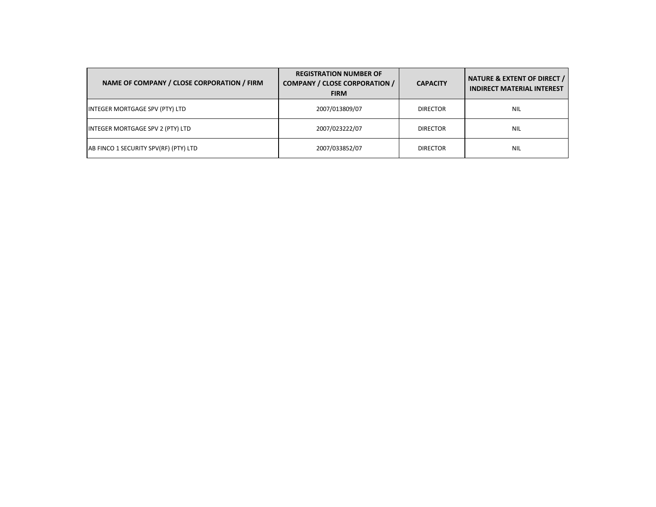| NAME OF COMPANY / CLOSE CORPORATION / FIRM | <b>REGISTRATION NUMBER OF</b><br><b>COMPANY / CLOSE CORPORATION /</b><br><b>FIRM</b> | <b>CAPACITY</b> | NATURE & EXTENT OF DIRECT /<br><b>INDIRECT MATERIAL INTEREST</b> |
|--------------------------------------------|--------------------------------------------------------------------------------------|-----------------|------------------------------------------------------------------|
| INTEGER MORTGAGE SPV (PTY) LTD             | 2007/013809/07                                                                       | <b>DIRECTOR</b> | <b>NIL</b>                                                       |
| INTEGER MORTGAGE SPV 2 (PTY) LTD           | 2007/023222/07                                                                       | <b>DIRECTOR</b> | <b>NIL</b>                                                       |
| AB FINCO 1 SECURITY SPV(RF) (PTY) LTD      | 2007/033852/07                                                                       | <b>DIRECTOR</b> | <b>NIL</b>                                                       |